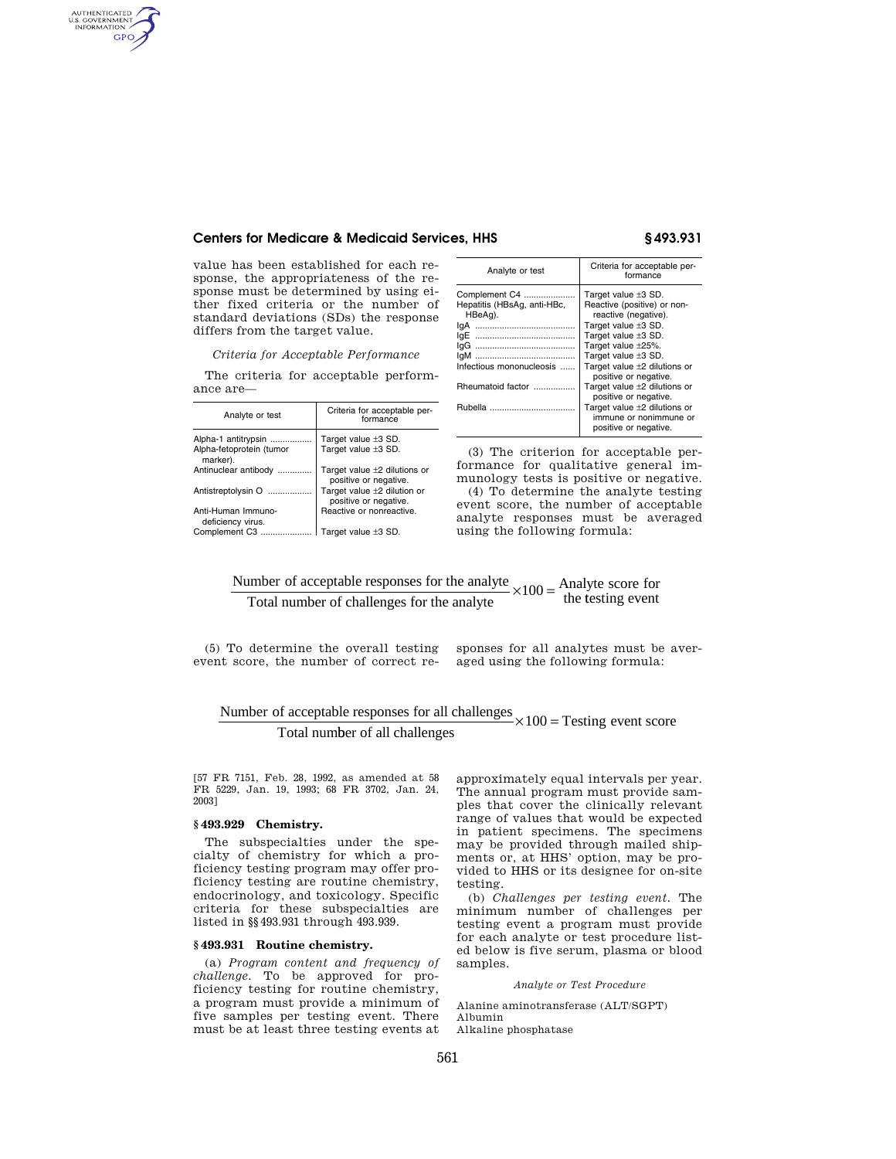# **Centers for Medicare & Medicaid Services, HHS § 493.931**

value has been established for each response, the appropriateness of the response must be determined by using either fixed criteria or the number of standard deviations (SDs) the response differs from the target value.

*Criteria for Acceptable Performance* 

The criteria for acceptable performance are—

| Analyte or test                         | Criteria for acceptable per-<br>formance                   |
|-----------------------------------------|------------------------------------------------------------|
| Alpha-1 antitrypsin                     | Target value $\pm 3$ SD.                                   |
| Alpha-fetoprotein (tumor<br>marker).    | Target value ±3 SD.                                        |
| Antinuclear antibody                    | Target value $\pm 2$ dilutions or<br>positive or negative. |
| Antistreptolysin O                      | Target value ±2 dilution or<br>positive or negative.       |
| Anti-Human Immuno-<br>deficiency virus. | Reactive or nonreactive.                                   |
| Complement C3                           | Target value $\pm 3$ SD.                                   |

| Analyte or test             | Criteria for acceptable per-<br>formance                                             |
|-----------------------------|--------------------------------------------------------------------------------------|
| Complement C4               | Target value $\pm 3$ SD.                                                             |
| Hepatitis (HBsAq, anti-HBc, | Reactive (positive) or non-                                                          |
| HBeAg).                     | reactive (negative).                                                                 |
| lqA                         | Target value ±3 SD.                                                                  |
| lqE                         | Target value ±3 SD.                                                                  |
|                             | Target value ±25%.                                                                   |
| laM<br>                     | Target value $\pm 3$ SD.                                                             |
| Infectious mononucleosis    | Target value $\pm 2$ dilutions or                                                    |
|                             | positive or negative.                                                                |
| Rheumatoid factor           | Target value $\pm 2$ dilutions or<br>positive or negative.                           |
|                             | Target value $\pm 2$ dilutions or<br>immune or nonimmune or<br>positive or negative. |
|                             |                                                                                      |

(3) The criterion for acceptable performance for qualitative general immunology tests is positive or negative.

(4) To determine the analyte testing event score, the number of acceptable analyte responses must be averaged using the following formula:

Number of acceptable responses for the analyte Total number of challenges for the analyte  $x100 =$ Analyte score for<br>the testing event

(5) To determine the overall testing event score, the number of correct responses for all analytes must be averaged using the following formula:

# Number of acceptable responses for all challenges  $\times 100 =$  Testing event score Total number of all challenges

[57 FR 7151, Feb. 28, 1992, as amended at 58 FR 5229, Jan. 19, 1993; 68 FR 3702, Jan. 24,

# **§ 493.929 Chemistry.**

2003]

AUTHENTICATED<br>U.S. GOVERNMENT<br>INFORMATION GPO

> The subspecialties under the specialty of chemistry for which a proficiency testing program may offer proficiency testing are routine chemistry, endocrinology, and toxicology. Specific criteria for these subspecialties are listed in §§493.931 through 493.939.

# **§ 493.931 Routine chemistry.**

(a) *Program content and frequency of challenge.* To be approved for proficiency testing for routine chemistry, a program must provide a minimum of five samples per testing event. There must be at least three testing events at approximately equal intervals per year. The annual program must provide samples that cover the clinically relevant range of values that would be expected in patient specimens. The specimens may be provided through mailed shipments or, at HHS' option, may be provided to HHS or its designee for on-site testing.

(b) *Challenges per testing event.* The minimum number of challenges per testing event a program must provide for each analyte or test procedure listed below is five serum, plasma or blood samples.

*Analyte or Test Procedure* 

Alanine aminotransferase (ALT/SGPT) Albumin

Alkaline phosphatase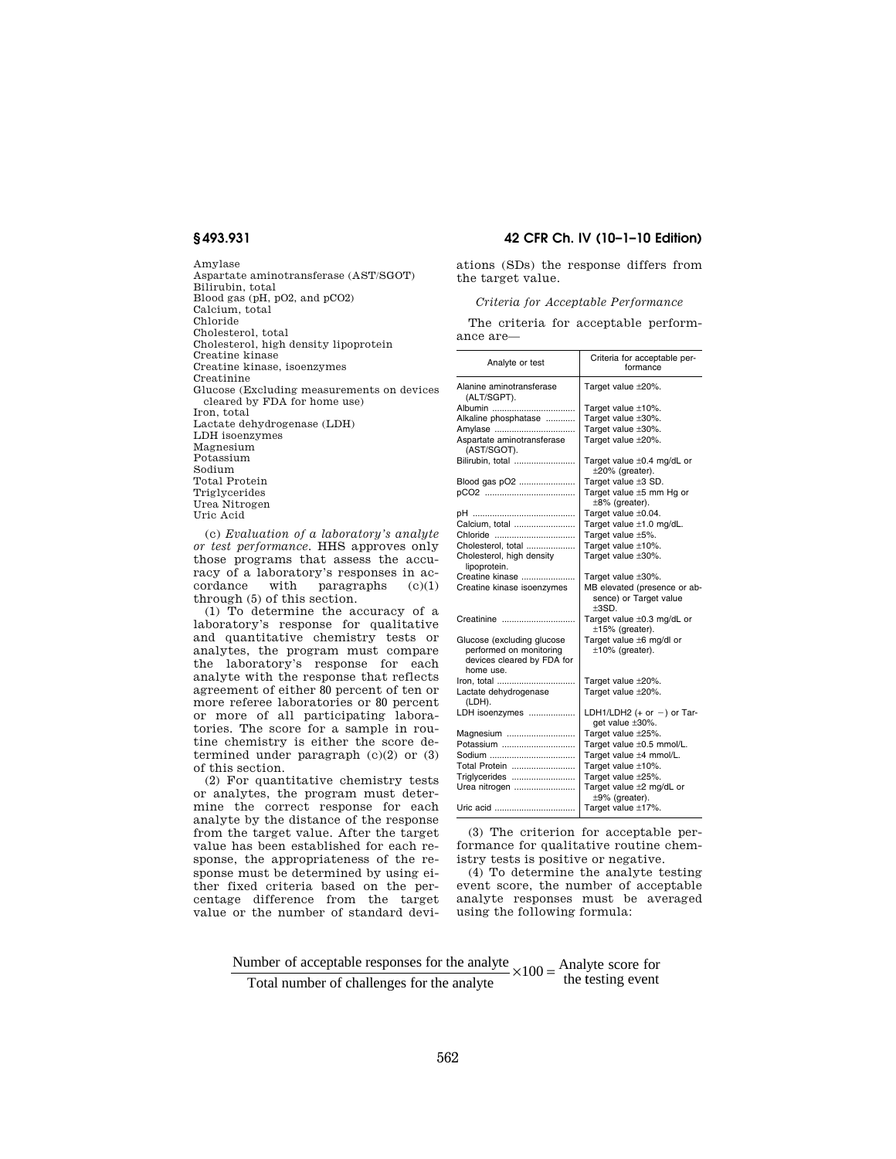Amylase Aspartate aminotransferase (AST/SGOT) Bilirubin, total Blood gas (pH, pO2, and pCO2) Calcium, total Chloride Cholesterol, total Cholesterol, high density lipoprotein Creatine kinase Creatine kinase, isoenzymes Creatinine Glucose (Excluding measurements on devices cleared by FDA for home use) Iron, total Lactate dehydrogenase (LDH) LDH isoenzymes Magnesium Potassium Sodium Total Protein Triglycerides Urea Nitrogen Uric Acid

(c) *Evaluation of a laboratory's analyte or test performance.* HHS approves only those programs that assess the accuracy of a laboratory's responses in accordance with paragraphs (c)(1) through (5) of this section.

(1) To determine the accuracy of a laboratory's response for qualitative and quantitative chemistry tests or analytes, the program must compare the laboratory's response for each analyte with the response that reflects agreement of either 80 percent of ten or more referee laboratories or 80 percent or more of all participating laboratories. The score for a sample in routine chemistry is either the score determined under paragraph (c)(2) or (3) of this section.

(2) For quantitative chemistry tests or analytes, the program must determine the correct response for each analyte by the distance of the response from the target value. After the target value has been established for each response, the appropriateness of the response must be determined by using either fixed criteria based on the percentage difference from the target value or the number of standard devi-

# **§ 493.931 42 CFR Ch. IV (10–1–10 Edition)**

ations (SDs) the response differs from the target value.

*Criteria for Acceptable Performance* 

The criteria for acceptable performance are—

| Analyte or test                                                                                  | Criteria for acceptable per-<br>formance                          |
|--------------------------------------------------------------------------------------------------|-------------------------------------------------------------------|
| Alanine aminotransferase<br>(ALT/SGPT).                                                          | Target value ±20%.                                                |
| Albumin                                                                                          | Target value ±10%.                                                |
| Alkaline phosphatase                                                                             | Target value ±30%.                                                |
| Amylase                                                                                          | Target value ±30%.                                                |
| Aspartate aminotransferase<br>(AST/SGOT).                                                        | Target value ±20%.                                                |
| Bilirubin, total                                                                                 | Target value $\pm 0.4$ mg/dL or<br>±20% (greater).                |
| Blood gas pO2                                                                                    | Target value ±3 SD.                                               |
|                                                                                                  | Target value ±5 mm Hg or                                          |
|                                                                                                  | $\pm 8\%$ (greater).                                              |
|                                                                                                  | Target value ±0.04.                                               |
| Calcium, total                                                                                   | Target value ±1.0 mg/dL.                                          |
| Chloride                                                                                         | Target value ±5%.                                                 |
| Cholesterol, total                                                                               | Target value ±10%.                                                |
| Cholesterol, high density<br>lipoprotein.                                                        | Target value ±30%.                                                |
| Creatine kinase                                                                                  | Target value ±30%.                                                |
| Creatine kinase isoenzymes                                                                       | MB elevated (presence or ab-<br>sence) or Target value<br>$+3SD.$ |
| Creatinine                                                                                       | Target value ±0.3 mg/dL or<br>$±15%$ (greater).                   |
| Glucose (excluding glucose<br>performed on monitoring<br>devices cleared by FDA for<br>home use. | Target value ±6 mg/dl or<br>$±10\%$ (greater).                    |
| Iron, total                                                                                      | Target value ±20%.                                                |
| Lactate dehydrogenase<br>(LDH).                                                                  | Target value ±20%.                                                |
| LDH isoenzymes                                                                                   | LDH1/LDH2 $(+ or -)$ or Tar-<br>get value ±30%.                   |
| Magnesium                                                                                        | Target value ±25%.                                                |
| Potassium                                                                                        | Target value ±0.5 mmol/L.                                         |
| Sodium                                                                                           | Target value ±4 mmol/L.                                           |
| Total Protein                                                                                    | Target value ±10%.                                                |
| Triglycerides                                                                                    | Target value ±25%.                                                |
| Urea nitrogen                                                                                    | Target value ±2 mg/dL or                                          |
|                                                                                                  | ±9% (greater).                                                    |
| Uric acid                                                                                        | Target value ±17%.                                                |

(3) The criterion for acceptable performance for qualitative routine chemistry tests is positive or negative.

(4) To determine the analyte testing event score, the number of acceptable analyte responses must be averaged using the following formula:

### Number of acceptable responses for the analyte Total number of challenges for the analyte  $x100 =$ Analyte score for<br>the testing event